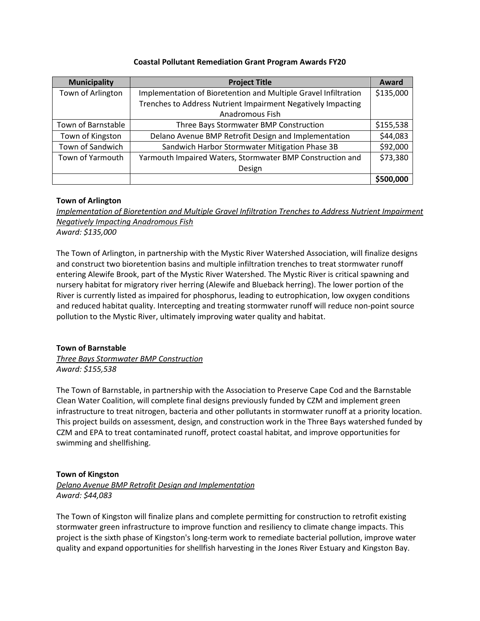| <b>Municipality</b> | <b>Project Title</b>                                            | Award     |
|---------------------|-----------------------------------------------------------------|-----------|
| Town of Arlington   | Implementation of Bioretention and Multiple Gravel Infiltration | \$135,000 |
|                     | Trenches to Address Nutrient Impairment Negatively Impacting    |           |
|                     | Anadromous Fish                                                 |           |
| Town of Barnstable  | Three Bays Stormwater BMP Construction                          | \$155,538 |
| Town of Kingston    | Delano Avenue BMP Retrofit Design and Implementation            | \$44,083  |
| Town of Sandwich    | Sandwich Harbor Stormwater Mitigation Phase 3B                  | \$92,000  |
| Town of Yarmouth    | Yarmouth Impaired Waters, Stormwater BMP Construction and       | \$73,380  |
|                     | Design                                                          |           |
|                     |                                                                 | \$500,000 |

## **Town of Arlington**

*Implementation of Bioretention and Multiple Gravel Infiltration Trenches to Address Nutrient Impairment Negatively Impacting Anadromous Fish Award: \$135,000*

The Town of Arlington, in partnership with the Mystic River Watershed Association, will finalize designs and construct two bioretention basins and multiple infiltration trenches to treat stormwater runoff entering Alewife Brook, part of the Mystic River Watershed. The Mystic River is critical spawning and nursery habitat for migratory river herring (Alewife and Blueback herring). The lower portion of the River is currently listed as impaired for phosphorus, leading to eutrophication, low oxygen conditions and reduced habitat quality. Intercepting and treating stormwater runoff will reduce non-point source pollution to the Mystic River, ultimately improving water quality and habitat.

# **Town of Barnstable**

*Three Bays Stormwater BMP Construction Award: \$155,538*

The Town of Barnstable, in partnership with the Association to Preserve Cape Cod and the Barnstable Clean Water Coalition, will complete final designs previously funded by CZM and implement green infrastructure to treat nitrogen, bacteria and other pollutants in stormwater runoff at a priority location. This project builds on assessment, design, and construction work in the Three Bays watershed funded by CZM and EPA to treat contaminated runoff, protect coastal habitat, and improve opportunities for swimming and shellfishing.

# **Town of Kingston**

*Delano Avenue BMP Retrofit Design and Implementation Award: \$44,083*

The Town of Kingston will finalize plans and complete permitting for construction to retrofit existing stormwater green infrastructure to improve function and resiliency to climate change impacts. This project is the sixth phase of Kingston's long-term work to remediate bacterial pollution, improve water quality and expand opportunities for shellfish harvesting in the Jones River Estuary and Kingston Bay.